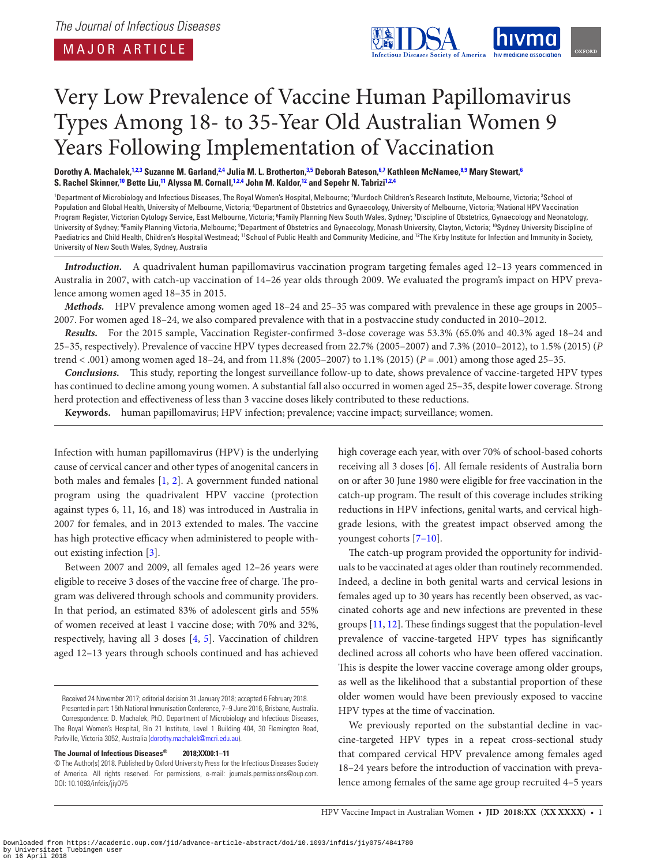<span id="page-0-11"></span><span id="page-0-9"></span><span id="page-0-6"></span><span id="page-0-4"></span><span id="page-0-2"></span>

# Very Low Prevalence of Vaccine Human Papillomavirus Types Among 18- to 35-Year Old Australian Women 9 Years Following Implementation of Vaccination

Dorothy A. Machalek,<sup>[1,](#page-0-0)[2](#page-0-1)[,3](#page-0-2)</sup> Suzanne M. Garland,<sup>2[,4](#page-0-3)</sup> Julia M. L. Brotherton,<sup>[3,](#page-0-2)[5](#page-0-4)</sup> Deborah Bateson,<sup>[6](#page-0-5)[,7](#page-0-6)</sup> Kathleen McNamee,<sup>[8](#page-0-7)[,9](#page-0-8)</sup> Mary Stewart,<sup>6</sup> **S. Rachel Skinner, [10](#page-0-9) Bette Liu, [11](#page-0-10) Alyssa M. Cornall, [1](#page-0-0)[,2,](#page-0-1)[4](#page-0-3) John M. Kaldor, [12](#page-0-11) and Sepehr N. Tabriz[i1,](#page-0-0)[2](#page-0-1),[4](#page-0-3)**

<span id="page-0-8"></span><span id="page-0-7"></span><span id="page-0-5"></span><span id="page-0-3"></span><span id="page-0-1"></span><span id="page-0-0"></span><sup>1</sup>Department of Microbiology and Infectious Diseases, The Royal Women's Hospital, Melbourne; <sup>2</sup>Murdoch Children's Research Institute, Melbourne, Victoria; <sup>3</sup>School of Population and Global Health, University of Melbourne, Victoria; <sup>4</sup>Department of Obstetrics and Gynaecology, University of Melbourne, Victoria; <sup>5</sup>National HPV Vaccination Program Register, Victorian Cytology Service, East Melbourne, Victoria; <sup>6</sup>Family Planning New South Wales, Sydney; <sup>7</sup>Discipline of Obstetrics, Gynaecology and Neonatology, University of Sydney; <sup>8</sup>Family Planning Victoria, Melbourne; <sup>9</sup>Department of Obstetrics and Gynaecology, Monash University, Clayton, Victoria; <sup>10</sup>Sydney University Discipline of Paediatrics and Child Health, Children's Hospital Westmead; <sup>11</sup>School of Public Health and Community Medicine, and <sup>12</sup>The Kirby Institute for Infection and Immunity in Society, University of New South Wales, Sydney, Australia

<span id="page-0-10"></span>*Introduction.* A quadrivalent human papillomavirus vaccination program targeting females aged 12–13 years commenced in Australia in 2007, with catch-up vaccination of 14–26 year olds through 2009. We evaluated the program's impact on HPV prevalence among women aged 18–35 in 2015.

*Methods.* HPV prevalence among women aged 18–24 and 25–35 was compared with prevalence in these age groups in 2005– 2007. For women aged 18–24, we also compared prevalence with that in a postvaccine study conducted in 2010–2012.

*Results.* For the 2015 sample, Vaccination Register-confirmed 3-dose coverage was 53.3% (65.0% and 40.3% aged 18–24 and 25–35, respectively). Prevalence of vaccine HPV types decreased from 22.7% (2005–2007) and 7.3% (2010–2012), to 1.5% (2015) (*P* trend < .001) among women aged 18–24, and from 11.8% (2005–2007) to 1.1% (2015) (*P* = .001) among those aged 25–35.

*Conclusions.* This study, reporting the longest surveillance follow-up to date, shows prevalence of vaccine-targeted HPV types has continued to decline among young women. A substantial fall also occurred in women aged 25–35, despite lower coverage. Strong herd protection and effectiveness of less than 3 vaccine doses likely contributed to these reductions.

**Keywords.** human papillomavirus; HPV infection; prevalence; vaccine impact; surveillance; women.

Infection with human papillomavirus (HPV) is the underlying cause of cervical cancer and other types of anogenital cancers in both males and females [\[1,](#page-8-0) [2](#page-8-1)]. A government funded national program using the quadrivalent HPV vaccine (protection against types 6, 11, 16, and 18) was introduced in Australia in 2007 for females, and in 2013 extended to males. The vaccine has high protective efficacy when administered to people without existing infection [[3](#page-8-2)].

Between 2007 and 2009, all females aged 12–26 years were eligible to receive 3 doses of the vaccine free of charge. The program was delivered through schools and community providers. In that period, an estimated 83% of adolescent girls and 55% of women received at least 1 vaccine dose; with 70% and 32%, respectively, having all 3 doses [\[4,](#page-8-3) [5\]](#page-8-4). Vaccination of children aged 12–13 years through schools continued and has achieved

# **The Journal of Infectious Diseases® 2018;XX00:1–11**

high coverage each year, with over 70% of school-based cohorts receiving all 3 doses [[6](#page-8-5)]. All female residents of Australia born on or after 30 June 1980 were eligible for free vaccination in the catch-up program. The result of this coverage includes striking reductions in HPV infections, genital warts, and cervical highgrade lesions, with the greatest impact observed among the youngest cohorts [\[7–10\]](#page-8-6).

The catch-up program provided the opportunity for individuals to be vaccinated at ages older than routinely recommended. Indeed, a decline in both genital warts and cervical lesions in females aged up to 30 years has recently been observed, as vaccinated cohorts age and new infections are prevented in these groups [\[11](#page-9-0), [12](#page-9-1)]. These findings suggest that the population-level prevalence of vaccine-targeted HPV types has significantly declined across all cohorts who have been offered vaccination. This is despite the lower vaccine coverage among older groups, as well as the likelihood that a substantial proportion of these older women would have been previously exposed to vaccine HPV types at the time of vaccination.

We previously reported on the substantial decline in vaccine-targeted HPV types in a repeat cross-sectional study that compared cervical HPV prevalence among females aged 18–24 years before the introduction of vaccination with prevalence among females of the same age group recruited 4–5 years

HPV Vaccine Impact in Australian Women • **JID 2018:XX (XX XXXX)** • 1

Received 24 November 2017; editorial decision 31 January 2018; accepted 6 February 2018. Presented in part: 15th National Immunisation Conference, 7–9 June 2016, Brisbane, Australia. Correspondence: D. Machalek, PhD, Department of Microbiology and Infectious Diseases, The Royal Women's Hospital, Bio 21 Institute, Level 1 Building 404, 30 Flemington Road, Parkville, Victoria 3052, Australia [\(dorothy.machalek@mcri.edu.au\)](mailto:dorothy.machalek@mcri.edu.au?subject=).

<sup>©</sup> The Author(s) 2018. Published by Oxford University Press for the Infectious Diseases Society of America. All rights reserved. For permissions, e-mail: journals.permissions@oup.com. DOI: 10.1093/infdis/jiy075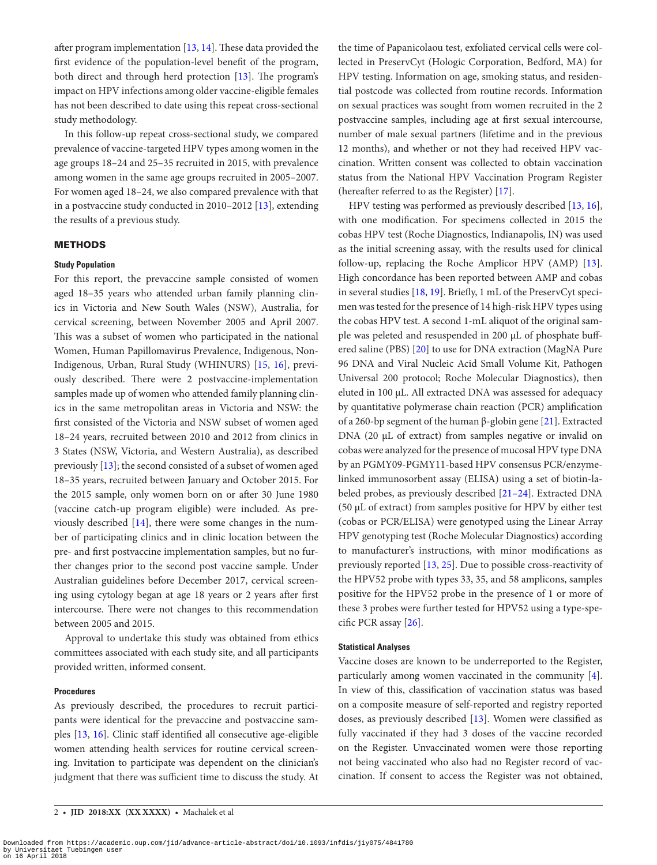after program implementation [[13,](#page-9-2) [14\]](#page-9-3). These data provided the first evidence of the population-level benefit of the program, both direct and through herd protection [\[13](#page-9-2)]. The program's impact on HPV infections among older vaccine-eligible females has not been described to date using this repeat cross-sectional study methodology.

In this follow-up repeat cross-sectional study, we compared prevalence of vaccine-targeted HPV types among women in the age groups 18–24 and 25–35 recruited in 2015, with prevalence among women in the same age groups recruited in 2005–2007. For women aged 18–24, we also compared prevalence with that in a postvaccine study conducted in 2010–2012 [[13\]](#page-9-2), extending the results of a previous study.

# **METHODS**

#### **Study Population**

For this report, the prevaccine sample consisted of women aged 18–35 years who attended urban family planning clinics in Victoria and New South Wales (NSW), Australia, for cervical screening, between November 2005 and April 2007. This was a subset of women who participated in the national Women, Human Papillomavirus Prevalence, Indigenous, Non-Indigenous, Urban, Rural Study (WHINURS) [[15](#page-9-4), [16\]](#page-9-5), previously described. There were 2 postvaccine-implementation samples made up of women who attended family planning clinics in the same metropolitan areas in Victoria and NSW: the first consisted of the Victoria and NSW subset of women aged 18–24 years, recruited between 2010 and 2012 from clinics in 3 States (NSW, Victoria, and Western Australia), as described previously [\[13\]](#page-9-2); the second consisted of a subset of women aged 18–35 years, recruited between January and October 2015. For the 2015 sample, only women born on or after 30 June 1980 (vaccine catch-up program eligible) were included. As previously described [\[14](#page-9-3)], there were some changes in the number of participating clinics and in clinic location between the pre- and first postvaccine implementation samples, but no further changes prior to the second post vaccine sample. Under Australian guidelines before December 2017, cervical screening using cytology began at age 18 years or 2 years after first intercourse. There were not changes to this recommendation between 2005 and 2015.

Approval to undertake this study was obtained from ethics committees associated with each study site, and all participants provided written, informed consent.

#### **Procedures**

As previously described, the procedures to recruit participants were identical for the prevaccine and postvaccine samples [\[13](#page-9-2), [16](#page-9-5)]. Clinic staff identified all consecutive age-eligible women attending health services for routine cervical screening. Invitation to participate was dependent on the clinician's judgment that there was sufficient time to discuss the study. At

2 • **JID 2018:XX (XX XXXX)** • Machalek et al

the time of Papanicolaou test, exfoliated cervical cells were collected in PreservCyt (Hologic Corporation, Bedford, MA) for HPV testing. Information on age, smoking status, and residential postcode was collected from routine records. Information on sexual practices was sought from women recruited in the 2 postvaccine samples, including age at first sexual intercourse, number of male sexual partners (lifetime and in the previous 12 months), and whether or not they had received HPV vaccination. Written consent was collected to obtain vaccination status from the National HPV Vaccination Program Register (hereafter referred to as the Register) [[17](#page-9-6)].

HPV testing was performed as previously described [\[13](#page-9-2), [16\]](#page-9-5), with one modification. For specimens collected in 2015 the cobas HPV test (Roche Diagnostics, Indianapolis, IN) was used as the initial screening assay, with the results used for clinical follow-up, replacing the Roche Amplicor HPV (AMP) [\[13\]](#page-9-2). High concordance has been reported between AMP and cobas in several studies [\[18,](#page-9-7) [19\]](#page-9-8). Briefly, 1 mL of the PreservCyt specimen was tested for the presence of 14 high-risk HPV types using the cobas HPV test. A second 1-mL aliquot of the original sample was peleted and resuspended in 200 µL of phosphate buffered saline (PBS) [\[20](#page-9-9)] to use for DNA extraction (MagNA Pure 96 DNA and Viral Nucleic Acid Small Volume Kit, Pathogen Universal 200 protocol; Roche Molecular Diagnostics), then eluted in 100 µL. All extracted DNA was assessed for adequacy by quantitative polymerase chain reaction (PCR) amplification of a 260-bp segment of the human β-globin gene [\[21](#page-9-10)]. Extracted DNA (20 µL of extract) from samples negative or invalid on cobas were analyzed for the presence of mucosal HPV type DNA by an PGMY09-PGMY11-based HPV consensus PCR/enzymelinked immunosorbent assay (ELISA) using a set of biotin-labeled probes, as previously described [\[21–24](#page-9-10)]. Extracted DNA (50 µL of extract) from samples positive for HPV by either test (cobas or PCR/ELISA) were genotyped using the Linear Array HPV genotyping test (Roche Molecular Diagnostics) according to manufacturer's instructions, with minor modifications as previously reported [[13,](#page-9-2) [25](#page-9-11)]. Due to possible cross-reactivity of the HPV52 probe with types 33, 35, and 58 amplicons, samples positive for the HPV52 probe in the presence of 1 or more of these 3 probes were further tested for HPV52 using a type-specific PCR assay [\[26\]](#page-9-12).

# **Statistical Analyses**

Vaccine doses are known to be underreported to the Register, particularly among women vaccinated in the community [\[4\]](#page-8-3). In view of this, classification of vaccination status was based on a composite measure of self-reported and registry reported doses, as previously described [\[13](#page-9-2)]. Women were classified as fully vaccinated if they had 3 doses of the vaccine recorded on the Register. Unvaccinated women were those reporting not being vaccinated who also had no Register record of vaccination. If consent to access the Register was not obtained,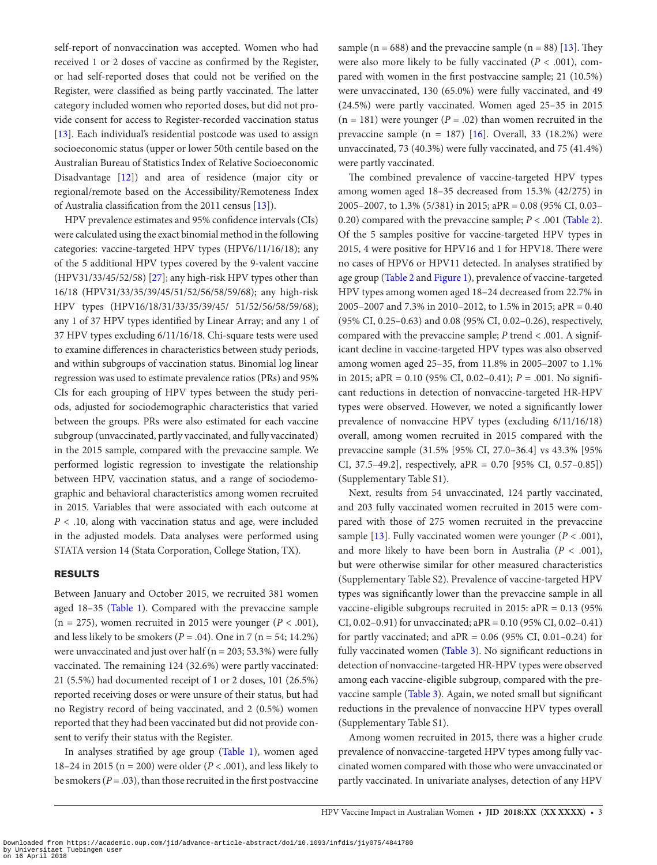self-report of nonvaccination was accepted. Women who had received 1 or 2 doses of vaccine as confirmed by the Register, or had self-reported doses that could not be verified on the Register, were classified as being partly vaccinated. The latter category included women who reported doses, but did not provide consent for access to Register-recorded vaccination status [\[13](#page-9-2)]. Each individual's residential postcode was used to assign socioeconomic status (upper or lower 50th centile based on the Australian Bureau of Statistics Index of Relative Socioeconomic Disadvantage [\[12\]](#page-9-1)) and area of residence (major city or regional/remote based on the Accessibility/Remoteness Index of Australia classification from the 2011 census [\[13](#page-9-2)]).

HPV prevalence estimates and 95% confidence intervals (CIs) were calculated using the exact binomial method in the following categories: vaccine-targeted HPV types (HPV6/11/16/18); any of the 5 additional HPV types covered by the 9-valent vaccine (HPV31/33/45/52/58) [\[27](#page-9-13)]; any high-risk HPV types other than 16/18 (HPV31/33/35/39/45/51/52/56/58/59/68); any high-risk HPV types (HPV16/18/31/33/35/39/45/ 51/52/56/58/59/68); any 1 of 37 HPV types identified by Linear Array; and any 1 of 37 HPV types excluding 6/11/16/18. Chi-square tests were used to examine differences in characteristics between study periods, and within subgroups of vaccination status. Binomial log linear regression was used to estimate prevalence ratios (PRs) and 95% CIs for each grouping of HPV types between the study periods, adjusted for sociodemographic characteristics that varied between the groups. PRs were also estimated for each vaccine subgroup (unvaccinated, partly vaccinated, and fully vaccinated) in the 2015 sample, compared with the prevaccine sample. We performed logistic regression to investigate the relationship between HPV, vaccination status, and a range of sociodemographic and behavioral characteristics among women recruited in 2015. Variables that were associated with each outcome at *P* < .10, along with vaccination status and age, were included in the adjusted models. Data analyses were performed using STATA version 14 (Stata Corporation, College Station, TX).

# RESULTS

Between January and October 2015, we recruited 381 women aged 18–35 [\(Table 1](#page-3-0)). Compared with the prevaccine sample  $(n = 275)$ , women recruited in 2015 were younger  $(P < .001)$ , and less likely to be smokers ( $P = .04$ ). One in 7 ( $n = 54$ ; 14.2%) were unvaccinated and just over half ( $n = 203$ ; 53.3%) were fully vaccinated. The remaining 124 (32.6%) were partly vaccinated: 21 (5.5%) had documented receipt of 1 or 2 doses, 101 (26.5%) reported receiving doses or were unsure of their status, but had no Registry record of being vaccinated, and 2 (0.5%) women reported that they had been vaccinated but did not provide consent to verify their status with the Register.

In analyses stratified by age group [\(Table 1](#page-3-0)), women aged 18–24 in 2015 (n = 200) were older (*P* < .001), and less likely to be smokers ( $P = .03$ ), than those recruited in the first postvaccine

sample ( $n = 688$ ) and the prevaccine sample ( $n = 88$ ) [[13\]](#page-9-2). They were also more likely to be fully vaccinated  $(P < .001)$ , compared with women in the first postvaccine sample; 21 (10.5%) were unvaccinated, 130 (65.0%) were fully vaccinated, and 49 (24.5%) were partly vaccinated. Women aged 25–35 in 2015  $(n = 181)$  were younger  $(P = .02)$  than women recruited in the prevaccine sample (n = 187) [[16\]](#page-9-5). Overall, 33 (18.2%) were unvaccinated, 73 (40.3%) were fully vaccinated, and 75 (41.4%) were partly vaccinated.

The combined prevalence of vaccine-targeted HPV types among women aged 18–35 decreased from 15.3% (42/275) in 2005–2007, to 1.3% (5/381) in 2015; aPR = 0.08 (95% CI, 0.03– 0.20) compared with the prevaccine sample; *P* < .001 [\(Table 2\)](#page-4-0). Of the 5 samples positive for vaccine-targeted HPV types in 2015, 4 were positive for HPV16 and 1 for HPV18. There were no cases of HPV6 or HPV11 detected. In analyses stratified by age group ([Table 2](#page-4-0) and [Figure 1](#page-5-0)), prevalence of vaccine-targeted HPV types among women aged 18–24 decreased from 22.7% in 2005–2007 and 7.3% in 2010–2012, to 1.5% in 2015; aPR = 0.40 (95% CI, 0.25–0.63) and 0.08 (95% CI, 0.02–0.26), respectively, compared with the prevaccine sample; *P* trend < .001. A significant decline in vaccine-targeted HPV types was also observed among women aged 25–35, from 11.8% in 2005–2007 to 1.1% in 2015; aPR = 0.10 (95% CI, 0.02–0.41); *P* = .001. No significant reductions in detection of nonvaccine-targeted HR-HPV types were observed. However, we noted a significantly lower prevalence of nonvaccine HPV types (excluding 6/11/16/18) overall, among women recruited in 2015 compared with the prevaccine sample (31.5% [95% CI, 27.0–36.4] vs 43.3% [95% CI, 37.5–49.2], respectively, aPR = 0.70 [95% CI, 0.57–0.85]) (Supplementary Table S1).

Next, results from 54 unvaccinated, 124 partly vaccinated, and 203 fully vaccinated women recruited in 2015 were compared with those of 275 women recruited in the prevaccine sample  $[13]$ . Fully vaccinated women were younger  $(P < .001)$ , and more likely to have been born in Australia ( $P < .001$ ), but were otherwise similar for other measured characteristics (Supplementary Table S2). Prevalence of vaccine-targeted HPV types was significantly lower than the prevaccine sample in all vaccine-eligible subgroups recruited in 2015: aPR = 0.13 (95% CI, 0.02–0.91) for unvaccinated;  $aPR = 0.10$  (95% CI, 0.02–0.41) for partly vaccinated; and aPR =  $0.06$  (95% CI, 0.01-0.24) for fully vaccinated women ([Table 3](#page-6-0)). No significant reductions in detection of nonvaccine-targeted HR-HPV types were observed among each vaccine-eligible subgroup, compared with the prevaccine sample ([Table 3](#page-6-0)). Again, we noted small but significant reductions in the prevalence of nonvaccine HPV types overall (Supplementary Table S1).

Among women recruited in 2015, there was a higher crude prevalence of nonvaccine-targeted HPV types among fully vaccinated women compared with those who were unvaccinated or partly vaccinated. In univariate analyses, detection of any HPV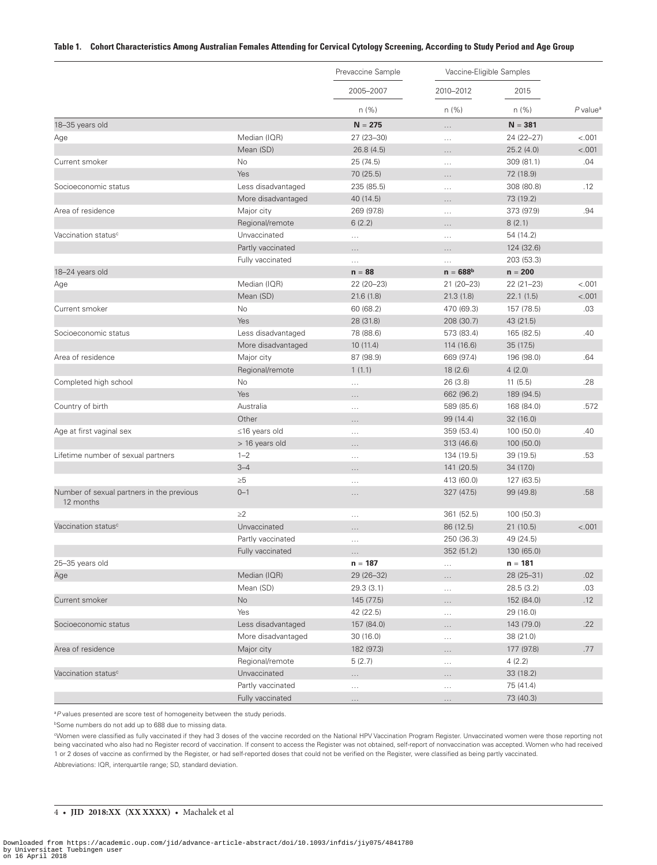#### <span id="page-3-0"></span>**Table 1. Cohort Characteristics Among Australian Females Attending for Cervical Cytology Screening, According to Study Period and Age Group**

|                                                        |                     | Prevaccine Sample | Vaccine-Eligible Samples |             |                        |
|--------------------------------------------------------|---------------------|-------------------|--------------------------|-------------|------------------------|
|                                                        |                     | 2005-2007         | 2010-2012                | 2015        |                        |
|                                                        |                     | $n$ (%)           | n(%)                     | n(%)        | $P$ value <sup>a</sup> |
| 18-35 years old                                        |                     | $N = 275$         | .                        | $N = 381$   |                        |
| Age                                                    | Median (IQR)        | 27 (23-30)        | $\ldots$                 | 24 (22-27)  | < .001                 |
|                                                        | Mean (SD)           | 26.8(4.5)         | $\cdots$                 | 25.2(4.0)   | < .001                 |
| Current smoker                                         | No                  | 25 (74.5)         | $\cdots$                 | 309 (81.1)  | .04                    |
|                                                        | Yes                 | 70 (25.5)         | $\cdots$                 | 72 (18.9)   |                        |
| Socioeconomic status                                   | Less disadvantaged  | 235 (85.5)        | $\ldots$                 | 308 (80.8)  | .12                    |
|                                                        | More disadvantaged  | 40 (14.5)         | $\cdots$                 | 73 (19.2)   |                        |
| Area of residence                                      | Major city          | 269 (97.8)        | $\ldots$                 | 373 (97.9)  | .94                    |
|                                                        | Regional/remote     | 6(2.2)            | .                        | 8(2.1)      |                        |
| Vaccination status <sup>c</sup>                        | Unvaccinated        | $\cdots$          | $\cdots$                 | 54 (14.2)   |                        |
|                                                        | Partly vaccinated   | .                 | $\cdots$                 | 124 (32.6)  |                        |
|                                                        | Fully vaccinated    | $\cdots$          | $\cdots$                 | 203 (53.3)  |                        |
| 18-24 years old                                        |                     | $n = 88$          | $n = 688b$               | $n = 200$   |                        |
| Age                                                    | Median (IQR)        | 22 (20-23)        | 21 (20-23)               | $22(21-23)$ | $-.001$                |
|                                                        | Mean (SD)           | 21.6(1.8)         | 21.3(1.8)                | 22.1(1.5)   | < .001                 |
| Current smoker                                         | No                  | 60 (68.2)         | 470 (69.3)               | 157 (78.5)  | .03                    |
|                                                        | Yes                 | 28 (31.8)         | 208 (30.7)               | 43 (21.5)   |                        |
| Socioeconomic status                                   | Less disadvantaged  | 78 (88.6)         | 573 (83.4)               | 165 (82.5)  | .40                    |
|                                                        | More disadvantaged  | 10(11.4)          | 114 (16.6)               | 35 (17.5)   |                        |
| Area of residence                                      | Major city          | 87 (98.9)         | 669 (97.4)               | 196 (98.0)  | .64                    |
|                                                        | Regional/remote     | 1(1.1)            | 18(2.6)                  | 4(2.0)      |                        |
| Completed high school                                  | No                  |                   | 26(3.8)                  | 11(5.5)     | .28                    |
|                                                        | Yes                 | $\cdots$          | 662 (96.2)               | 189 (94.5)  |                        |
| Country of birth                                       | Australia           | $\cdots$          | 589 (85.6)               | 168 (84.0)  | .572                   |
|                                                        | Other               | $\cdots$          | 99 (14.4)                | 32(16.0)    |                        |
|                                                        |                     | .                 | 359 (53.4)               | 100 (50.0)  | .40                    |
| Age at first vaginal sex                               | $\leq$ 16 years old | $\cdots$          |                          |             |                        |
|                                                        | > 16 years old      | .                 | 313 (46.6)               | 100 (50.0)  |                        |
| Lifetime number of sexual partners                     | $1 - 2$             | $\cdots$          | 134 (19.5)               | 39 (19.5)   | .53                    |
|                                                        | $3 - 4$             | .                 | 141 (20.5)               | 34 (17.0)   |                        |
|                                                        | $\geq 5$            | $\cdots$          | 413 (60.0)               | 127 (63.5)  |                        |
| Number of sexual partners in the previous<br>12 months | $0 - 1$             | $\cdots$          | 327 (47.5)               | 99 (49.8)   | .58                    |
|                                                        | $\geq$ 2            | $\cdots$          | 361 (52.5)               | 100 (50.3)  |                        |
| Vaccination status <sup>c</sup>                        | Unvaccinated        | $\cdots$          | 86 (12.5)                | 21 (10.5)   | < .001                 |
|                                                        | Partly vaccinated   | $\cdots$          | 250 (36.3)               | 49 (24.5)   |                        |
|                                                        | Fully vaccinated    | .                 | 352 (51.2)               | 130 (65.0)  |                        |
| 25-35 years old                                        |                     | $n = 187$         | $\ldots$                 | $n = 181$   |                        |
| Age                                                    | Median (IQR)        | 29 (26-32)        | $\cdots$                 | 28 (25-31)  | .02                    |
|                                                        | Mean (SD)           | 29.3(3.1)         | $\ldots$                 | 28.5 (3.2)  | .03                    |
| Current smoker                                         | No                  | 145 (77.5)        | .                        | 152 (84.0)  | .12                    |
|                                                        | Yes                 | 42 (22.5)         | $\ldots$                 | 29 (16.0)   |                        |
| Socioeconomic status                                   | Less disadvantaged  | 157 (84.0)        | $\cdots$                 | 143 (79.0)  | .22                    |
|                                                        | More disadvantaged  | 30(16.0)          |                          | 38 (21.0)   |                        |
| Area of residence                                      | Major city          | 182 (97.3)        | $\ldots$<br>$\cdots$     | 177 (97.8)  | .77                    |
|                                                        | Regional/remote     | 5(2.7)            |                          | 4(2.2)      |                        |
| Vaccination status <sup>c</sup>                        | Unvaccinated        |                   | $\sim$ $\sim$ $\sim$     | 33 (18.2)   |                        |
|                                                        | Partly vaccinated   | $\cdots$          | .                        | 75 (41.4)   |                        |
|                                                        | Fully vaccinated    | $\cdots$          | .                        | 73 (40.3)   |                        |
|                                                        |                     | $\ldots$          | $\cdots$                 |             |                        |

<sup>a</sup>*P* values presented are score test of homogeneity between the study periods.

bSome numbers do not add up to 688 due to missing data.

cWomen were classified as fully vaccinated if they had 3 doses of the vaccine recorded on the National HPV Vaccination Program Register. Unvaccinated women were those reporting not being vaccinated who also had no Register record of vaccination. If consent to access the Register was not obtained, self-report of nonvaccination was accepted. Women who had received 1 or 2 doses of vaccine as confirmed by the Register, or had self-reported doses that could not be verified on the Register, were classified as being partly vaccinated. Abbreviations: IQR, interquartile range; SD, standard deviation.

#### 4 • **JID 2018:XX (XX XXXX)** • Machalek et al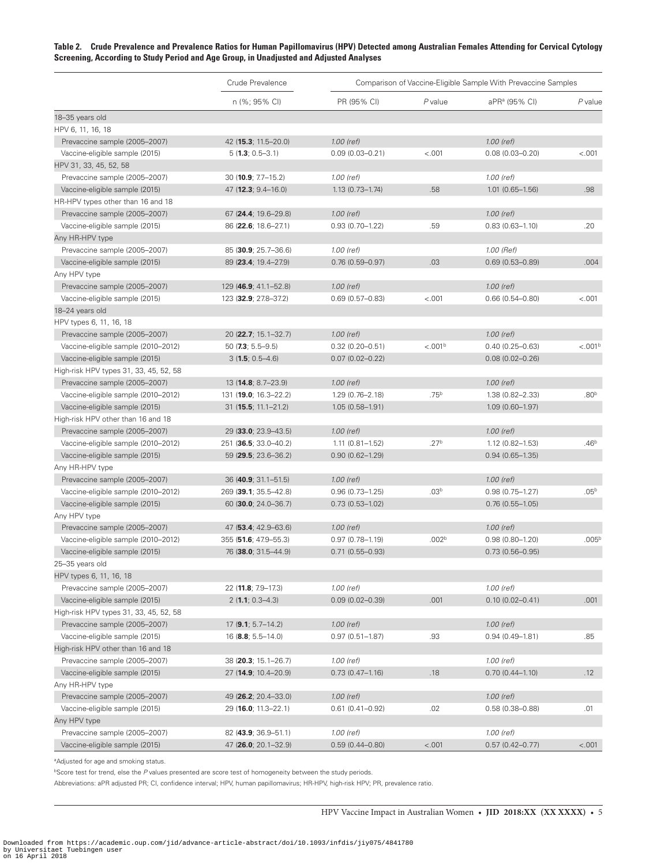<span id="page-4-0"></span>**Table 2. Crude Prevalence and Prevalence Ratios for Human Papillomavirus (HPV) Detected among Australian Females Attending for Cervical Cytology Screening, According to Study Period and Age Group, in Unadjusted and Adjusted Analyses**

|                                        | Crude Prevalence              | Comparison of Vaccine-Eligible Sample With Prevaccine Samples |                     |                           |                     |  |
|----------------------------------------|-------------------------------|---------------------------------------------------------------|---------------------|---------------------------|---------------------|--|
|                                        | n (%; 95% CI)                 | PR (95% CI)                                                   | P value             | aPR <sup>a</sup> (95% CI) | $P$ value           |  |
| 18-35 years old                        |                               |                                                               |                     |                           |                     |  |
| HPV 6, 11, 16, 18                      |                               |                                                               |                     |                           |                     |  |
| Prevaccine sample (2005-2007)          | 42 (15.3; 11.5-20.0)          | $1.00$ (ref)                                                  |                     | 1.00 (ref)                |                     |  |
| Vaccine-eligible sample (2015)         | $5(1.3; 0.5-3.1)$             | $0.09(0.03 - 0.21)$                                           | < .001              | $0.08(0.03 - 0.20)$       | $-.001$             |  |
| HPV 31, 33, 45, 52, 58                 |                               |                                                               |                     |                           |                     |  |
| Prevaccine sample (2005-2007)          | 30 (10.9; 7.7-15.2)           | 1.00 (ref)                                                    |                     | 1.00 (ref)                |                     |  |
| Vaccine-eligible sample (2015)         | $47(12.3; 9.4-16.0)$          | $1.13(0.73 - 1.74)$                                           | .58                 | $1.01(0.65 - 1.56)$       | .98                 |  |
| HR-HPV types other than 16 and 18      |                               |                                                               |                     |                           |                     |  |
| Prevaccine sample (2005-2007)          | 67 (24.4; 19.6-29.8)          | 1.00 (ref)                                                    |                     | 1.00 (ref)                |                     |  |
| Vaccine-eligible sample (2015)         | 86 (22.6; 18.6-27.1)          | $0.93(0.70 - 1.22)$                                           | .59                 | $0.83(0.63 - 1.10)$       | .20                 |  |
| Any HR-HPV type                        |                               |                                                               |                     |                           |                     |  |
| Prevaccine sample (2005-2007)          | 85 (30.9; 25.7-36.6)          | 1.00 (ref)                                                    |                     | 1.00 (Ref)                |                     |  |
| Vaccine-eligible sample (2015)         | 89 (23.4; 19.4–27.9)          | $0.76(0.59 - 0.97)$                                           | .03                 | $0.69(0.53 - 0.89)$       | .004                |  |
| Any HPV type                           |                               |                                                               |                     |                           |                     |  |
| Prevaccine sample (2005-2007)          | 129 (46.9; 41.1–52.8)         | 1.00 (ref)                                                    |                     | 1.00 (ref)                |                     |  |
| Vaccine-eligible sample (2015)         | 123 (32.9; 27.8-37.2)         | $0.69(0.57 - 0.83)$                                           | < .001              | $0.66(0.54 - 0.80)$       | < .001              |  |
| 18-24 years old                        |                               |                                                               |                     |                           |                     |  |
| HPV types 6, 11, 16, 18                |                               |                                                               |                     |                           |                     |  |
| Prevaccine sample (2005-2007)          | 20 (22.7; 15.1–32.7)          | $1.00$ (ref)                                                  |                     | 1.00 (ref)                |                     |  |
| Vaccine-eligible sample (2010-2012)    | 50 $(7.3; 5.5-9.5)$           | $0.32(0.20 - 0.51)$                                           | < .001 <sup>b</sup> | $0.40(0.25 - 0.63)$       | < .001 <sup>b</sup> |  |
| Vaccine-eligible sample (2015)         | $3(1.5; 0.5-4.6)$             | $0.07(0.02 - 0.22)$                                           |                     | $0.08(0.02 - 0.26)$       |                     |  |
| High-risk HPV types 31, 33, 45, 52, 58 |                               |                                                               |                     |                           |                     |  |
| Prevaccine sample (2005-2007)          | 13 (14.8; 8.7-23.9)           | 1.00 (ref)                                                    |                     | 1.00 (ref)                |                     |  |
| Vaccine-eligible sample (2010-2012)    | 131 (19.0; 16.3-22.2)         | $1.29(0.76 - 2.18)$                                           | .75 <sup>b</sup>    | 1.38 (0.82-2.33)          | .80 <sup>b</sup>    |  |
| Vaccine-eligible sample (2015)         | $31(15.5; 11.1 - 21.2)$       | $1.05(0.58 - 1.91)$                                           |                     | $1.09(0.60 - 1.97)$       |                     |  |
| High-risk HPV other than 16 and 18     |                               |                                                               |                     |                           |                     |  |
| Prevaccine sample (2005-2007)          | 29 (33.0; 23.9–43.5)          | $1.00$ (ref)                                                  |                     | 1.00 (ref)                |                     |  |
| Vaccine-eligible sample (2010-2012)    | 251 (36.5; 33.0-40.2)         | $1.11(0.81 - 1.52)$                                           | .27 <sup>b</sup>    | $1.12(0.82 - 1.53)$       | .46 <sup>b</sup>    |  |
| Vaccine-eligible sample (2015)         | 59 (29.5; 23.6–36.2)          | $0.90(0.62 - 1.29)$                                           |                     | $0.94(0.65 - 1.35)$       |                     |  |
| Any HR-HPV type                        |                               |                                                               |                     |                           |                     |  |
| Prevaccine sample (2005-2007)          | 36 (40.9; 31.1–51.5)          | $1.00$ (ref)                                                  |                     | $1.00$ (ref)              |                     |  |
| Vaccine-eligible sample (2010-2012)    | 269 (39.1; 35.5-42.8)         | $0.96(0.73 - 1.25)$                                           | .03 <sup>b</sup>    | $0.98(0.75 - 1.27)$       | .05 <sup>b</sup>    |  |
| Vaccine-eligible sample (2015)         | 60 (30.0; 24.0-36.7)          | $0.73(0.53 - 1.02)$                                           |                     | $0.76(0.55 - 1.05)$       |                     |  |
| Any HPV type                           |                               |                                                               |                     |                           |                     |  |
| Prevaccine sample (2005-2007)          | 47 (53.4; 42.9–63.6)          | 1.00 (ref)                                                    |                     | 1.00 (ref)                |                     |  |
| Vaccine-eligible sample (2010-2012)    | 355 (51.6; 47.9–55.3)         | $0.97(0.78 - 1.19)$                                           | .002 <sup>b</sup>   | $0.98(0.80 - 1.20)$       | .005 <sup>b</sup>   |  |
| Vaccine-eligible sample (2015)         | 76 (38.0; 31.5-44.9)          | $0.71(0.55 - 0.93)$                                           |                     | $0.73(0.56 - 0.95)$       |                     |  |
| 25-35 years old                        |                               |                                                               |                     |                           |                     |  |
| HPV types 6, 11, 16, 18                |                               |                                                               |                     |                           |                     |  |
| Prevaccine sample (2005-2007)          | 22 (11.8; 7.9-17.3)           | 1.00 (ref)                                                    |                     | 1.00 (ref)                |                     |  |
| Vaccine-eligible sample (2015)         | $2(1.1; 0.3-4.3)$             | $0.09(0.02 - 0.39)$                                           | .001                | $0.10(0.02 - 0.41)$       | .001                |  |
| High-risk HPV types 31, 33, 45, 52, 58 |                               |                                                               |                     |                           |                     |  |
| Prevaccine sample (2005-2007)          | $17$ ( <b>9.1</b> ; 5.7–14.2) | 1.00 (ref)                                                    |                     | 1.00 (ref)                |                     |  |
| Vaccine-eligible sample (2015)         | $16$ ( <b>8.8</b> ; 5.5–14.0) | $0.97(0.51 - 1.87)$                                           | .93                 | $0.94(0.49 - 1.81)$       | .85                 |  |
| High-risk HPV other than 16 and 18     |                               |                                                               |                     |                           |                     |  |
| Prevaccine sample (2005-2007)          | 38 (20.3; 15.1-26.7)          | 1.00 (ref)                                                    |                     | 1.00 (ref)                |                     |  |
| Vaccine-eligible sample (2015)         | 27 (14.9; 10.4-20.9)          | $0.73(0.47 - 1.16)$                                           | .18                 | $0.70(0.44 - 1.10)$       | .12                 |  |
| Any HR-HPV type                        |                               |                                                               |                     |                           |                     |  |
| Prevaccine sample (2005-2007)          | 49 (26.2; 20.4-33.0)          | $1.00$ (ref)                                                  |                     | 1.00 (ref)                |                     |  |
| Vaccine-eligible sample (2015)         | 29 (16.0; 11.3-22.1)          | $0.61(0.41 - 0.92)$                                           | .02                 | $0.58(0.38 - 0.88)$       | .01                 |  |
| Any HPV type                           |                               |                                                               |                     |                           |                     |  |
| Prevaccine sample (2005-2007)          | 82 (43.9; 36.9-51.1)          | 1.00 (ref)                                                    |                     | 1.00 (ref)                |                     |  |
| Vaccine-eligible sample (2015)         | 47 (26.0; 20.1-32.9)          | $0.59(0.44 - 0.80)$                                           | < .001              | $0.57(0.42 - 0.77)$       | < .001              |  |
|                                        |                               |                                                               |                     |                           |                     |  |

aAdjusted for age and smoking status.

<sup>b</sup>Score test for trend, else the P values presented are score test of homogeneity between the study periods.

Abbreviations: aPR adjusted PR; CI, confidence interval; HPV, human papillomavirus; HR-HPV, high-risk HPV; PR, prevalence ratio.

HPV Vaccine Impact in Australian Women • **JID 2018:XX (XX XXXX)** • 5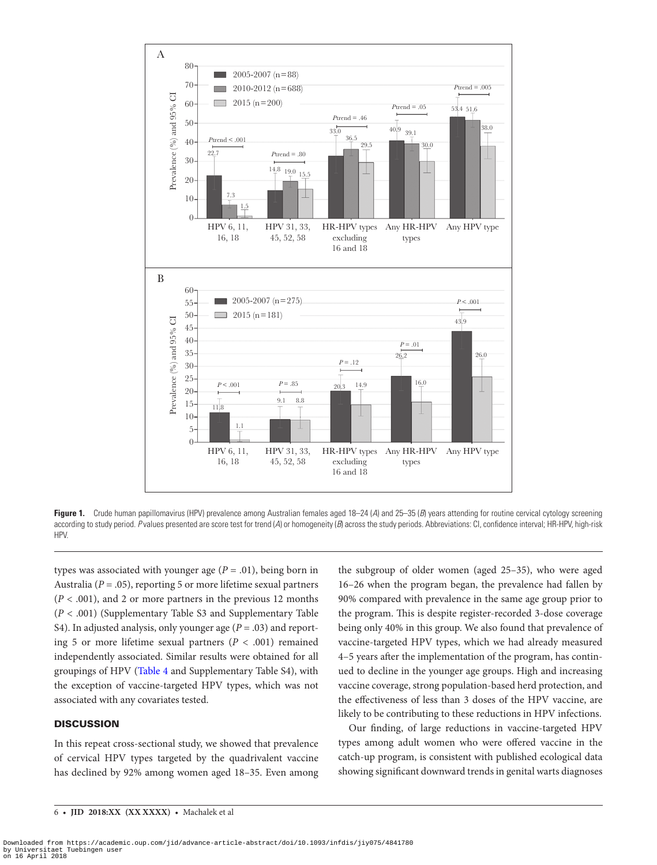

Figure 1. Crude human papillomavirus (HPV) prevalence among Australian females aged 18–24 (A) and 25–35 (B) years attending for routine cervical cytology screening according to study period. *P* values presented are score test for trend (*A*) or homogeneity (*B*) across the study periods. Abbreviations: CI, confidence interval; HR-HPV, high-risk HPV.

types was associated with younger age  $(P = .01)$ , being born in Australia ( $P = .05$ ), reporting 5 or more lifetime sexual partners (*P* < .001), and 2 or more partners in the previous 12 months (*P* < .001) (Supplementary Table S3 and Supplementary Table S4). In adjusted analysis, only younger age  $(P = .03)$  and reporting 5 or more lifetime sexual partners  $(P < .001)$  remained independently associated. Similar results were obtained for all groupings of HPV ([Table 4](#page-7-0) and Supplementary Table S4), with the exception of vaccine-targeted HPV types, which was not associated with any covariates tested.

# **DISCUSSION**

In this repeat cross-sectional study, we showed that prevalence of cervical HPV types targeted by the quadrivalent vaccine has declined by 92% among women aged 18–35. Even among

<span id="page-5-0"></span>the subgroup of older women (aged 25–35), who were aged 16–26 when the program began, the prevalence had fallen by 90% compared with prevalence in the same age group prior to the program. This is despite register-recorded 3-dose coverage being only 40% in this group. We also found that prevalence of vaccine-targeted HPV types, which we had already measured 4–5 years after the implementation of the program, has continued to decline in the younger age groups. High and increasing vaccine coverage, strong population-based herd protection, and the effectiveness of less than 3 doses of the HPV vaccine, are likely to be contributing to these reductions in HPV infections.

Our finding, of large reductions in vaccine-targeted HPV types among adult women who were offered vaccine in the catch-up program, is consistent with published ecological data showing significant downward trends in genital warts diagnoses

Downloaded from https://academic.oup.com/jid/advance-article-abstract/doi/10.1093/infdis/jiy075/4841780 by Universitaet Tuebingen user on 16 April 2018

<sup>6</sup> • **JID 2018:XX (XX XXXX)** • Machalek et al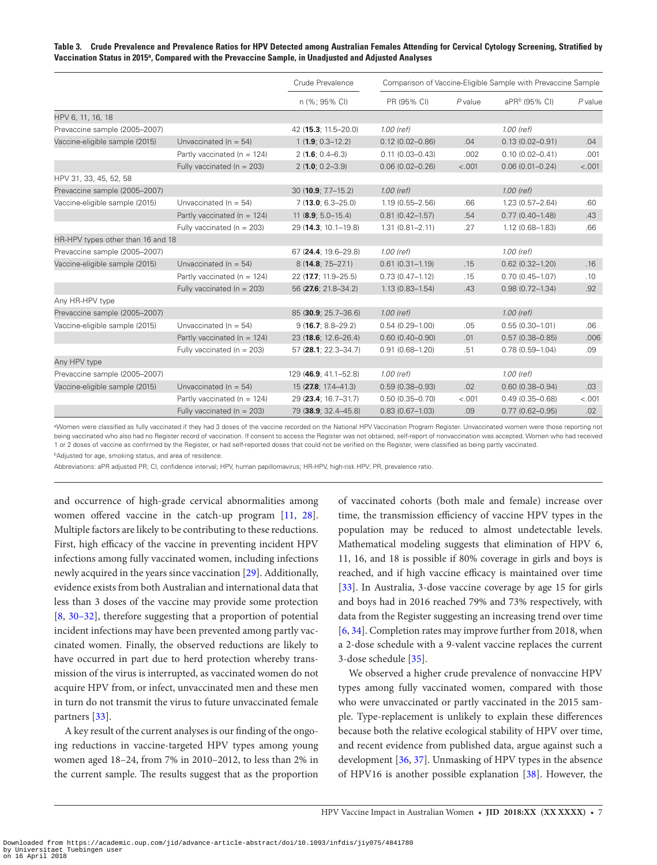#### <span id="page-6-0"></span>**Table 3. Crude Prevalence and Prevalence Ratios for HPV Detected among Australian Females Attending for Cervical Cytology Screening, Stratified by Vaccination Status in 2015a, Compared with the Prevaccine Sample, in Unadjusted and Adjusted Analyses**

|                                   |                                 | Crude Prevalence<br>n (%; 95% CI) | Comparison of Vaccine-Eligible Sample with Prevaccine Sample |           |                           |           |
|-----------------------------------|---------------------------------|-----------------------------------|--------------------------------------------------------------|-----------|---------------------------|-----------|
|                                   |                                 |                                   | PR (95% CI)                                                  | $P$ value | aPR <sup>b</sup> (95% CI) | $P$ value |
| HPV 6, 11, 16, 18                 |                                 |                                   |                                                              |           |                           |           |
| Prevaccine sample (2005-2007)     |                                 | 42 (15.3; 11.5-20.0)              | $1.00$ (ref)                                                 |           | 1.00 (ref)                |           |
| Vaccine-eligible sample (2015)    | Unvaccinated ( $n = 54$ )       | $1(1.9; 0.3-12.2)$                | $0.12(0.02 - 0.86)$                                          | .04       | $0.13(0.02 - 0.91)$       | .04       |
|                                   | Partly vaccinated ( $n = 124$ ) | $2(1.6; 0.4 - 6.3)$               | $0.11(0.03 - 0.43)$                                          | .002      | $0.10(0.02 - 0.41)$       | .001      |
|                                   | Fully vaccinated ( $n = 203$ )  | $2(1.0; 0.2 - 3.9)$               | $0.06(0.02 - 0.26)$                                          | < .001    | $0.06(0.01 - 0.24)$       | < .001    |
| HPV 31, 33, 45, 52, 58            |                                 |                                   |                                                              |           |                           |           |
| Prevaccine sample (2005-2007)     |                                 | 30 (10.9; $7.7-15.2$ )            | $1.00$ (ref)                                                 |           | $1.00$ (ref)              |           |
| Vaccine-eligible sample (2015)    | Unvaccinated $(n = 54)$         | $7(13.0; 6.3 - 25.0)$             | $1.19(0.55 - 2.56)$                                          | .66       | $1.23(0.57 - 2.64)$       | .60       |
|                                   | Partly vaccinated ( $n = 124$ ) | 11 ( $\mathbf{8.9}$ ; 5.0-15.4)   | $0.81(0.42 - 1.57)$                                          | .54       | $0.77(0.40 - 1.48)$       | .43       |
|                                   | Fully vaccinated ( $n = 203$ )  | 29 (14.3; 10.1-19.8)              | $1.31(0.81 - 2.11)$                                          | .27       | $1.12(0.68 - 1.83)$       | .66       |
| HR-HPV types other than 16 and 18 |                                 |                                   |                                                              |           |                           |           |
| Prevaccine sample (2005-2007)     |                                 | 67 (24.4; 19.6-29.8)              | 1.00 (ref)                                                   |           | $1.00$ (ref)              |           |
| Vaccine-eligible sample (2015)    | Unvaccinated $(n = 54)$         | $8(14.8; 7.5 - 27.1)$             | $0.61(0.31 - 1.19)$                                          | .15       | $0.62$ $(0.32 - 1.20)$    | .16       |
|                                   | Partly vaccinated ( $n = 124$ ) | 22 (17.7; 11.9-25.5)              | $0.73(0.47 - 1.12)$                                          | .15       | $0.70(0.45 - 1.07)$       | .10       |
|                                   | Fully vaccinated ( $n = 203$ )  | 56 (27.6; 21.8-34.2)              | $1.13(0.83 - 1.54)$                                          | .43       | $0.98(0.72 - 1.34)$       | .92       |
| Any HR-HPV type                   |                                 |                                   |                                                              |           |                           |           |
| Prevaccine sample (2005-2007)     |                                 | 85 (30.9; 25.7-36.6)              | 1.00 (ref)                                                   |           | $1.00$ (ref)              |           |
| Vaccine-eligible sample (2015)    | Unvaccinated $(n = 54)$         | $9(16.7; 8.8-29.2)$               | $0.54(0.29 - 1.00)$                                          | .05       | $0.55(0.30 - 1.01)$       | .06       |
|                                   | Partly vaccinated ( $n = 124$ ) | 23 (18.6; 12.6-26.4)              | $0.60(0.40 - 0.90)$                                          | .01       | $0.57(0.38 - 0.85)$       | .006      |
|                                   | Fully vaccinated ( $n = 203$ )  | 57 (28.1; 22.3-34.7)              | $0.91(0.68 - 1.20)$                                          | .51       | $0.78(0.59 - 1.04)$       | .09       |
| Any HPV type                      |                                 |                                   |                                                              |           |                           |           |
| Prevaccine sample (2005-2007)     |                                 | 129 (46.9; 41.1–52.8)             | 1.00 (ref)                                                   |           | 1.00 (ref)                |           |
| Vaccine-eligible sample (2015)    | Unvaccinated ( $n = 54$ )       | 15 (27.8; 17.4-41.3)              | $0.59(0.38 - 0.93)$                                          | .02       | $0.60(0.38 - 0.94)$       | .03       |
|                                   | Partly vaccinated ( $n = 124$ ) | 29 (23.4; 16.7-31.7)              | $0.50(0.35 - 0.70)$                                          | < .001    | $0.49(0.35 - 0.68)$       | < .001    |
|                                   | Fully vaccinated ( $n = 203$ )  | 79 (38.9; 32.4-45.8)              | $0.83(0.67 - 1.03)$                                          | .09       | $0.77(0.62 - 0.95)$       | .02       |

Women were classified as fully vaccinated if they had 3 doses of the vaccine recorded on the National HPV Vaccination Program Register. Unvaccinated women were those reporting not being vaccinated who also had no Register record of vaccination. If consent to access the Register was not obtained, self-report of nonvaccination was accepted. Women who had received 1 or 2 doses of vaccine as confirmed by the Register, or had self-reported doses that could not be verified on the Register, were classified as being partly vaccinated.

**bAdjusted for age, smoking status, and area of residence.** 

Abbreviations: aPR adjusted PR; CI, confidence interval; HPV, human papillomavirus; HR-HPV, high-risk HPV; PR, prevalence ratio.

and occurrence of high-grade cervical abnormalities among women offered vaccine in the catch-up program [\[11](#page-9-0), [28\]](#page-9-14). Multiple factors are likely to be contributing to these reductions. First, high efficacy of the vaccine in preventing incident HPV infections among fully vaccinated women, including infections newly acquired in the years since vaccination [[29\]](#page-9-15). Additionally, evidence exists from both Australian and international data that less than 3 doses of the vaccine may provide some protection [\[8,](#page-8-7) [30–32](#page-9-16)], therefore suggesting that a proportion of potential incident infections may have been prevented among partly vaccinated women. Finally, the observed reductions are likely to have occurred in part due to herd protection whereby transmission of the virus is interrupted, as vaccinated women do not acquire HPV from, or infect, unvaccinated men and these men in turn do not transmit the virus to future unvaccinated female partners [\[33](#page-9-17)].

A key result of the current analyses is our finding of the ongoing reductions in vaccine-targeted HPV types among young women aged 18–24, from 7% in 2010–2012, to less than 2% in the current sample. The results suggest that as the proportion

of vaccinated cohorts (both male and female) increase over time, the transmission efficiency of vaccine HPV types in the population may be reduced to almost undetectable levels. Mathematical modeling suggests that elimination of HPV 6, 11, 16, and 18 is possible if 80% coverage in girls and boys is reached, and if high vaccine efficacy is maintained over time [\[33](#page-9-17)]. In Australia, 3-dose vaccine coverage by age 15 for girls and boys had in 2016 reached 79% and 73% respectively, with data from the Register suggesting an increasing trend over time [\[6,](#page-8-5) [34\]](#page-10-0). Completion rates may improve further from 2018, when a 2-dose schedule with a 9-valent vaccine replaces the current 3-dose schedule [\[35](#page-10-1)].

We observed a higher crude prevalence of nonvaccine HPV types among fully vaccinated women, compared with those who were unvaccinated or partly vaccinated in the 2015 sample. Type-replacement is unlikely to explain these differences because both the relative ecological stability of HPV over time, and recent evidence from published data, argue against such a development [[36,](#page-10-2) [37](#page-10-3)]. Unmasking of HPV types in the absence of HPV16 is another possible explanation [[38](#page-10-4)]. However, the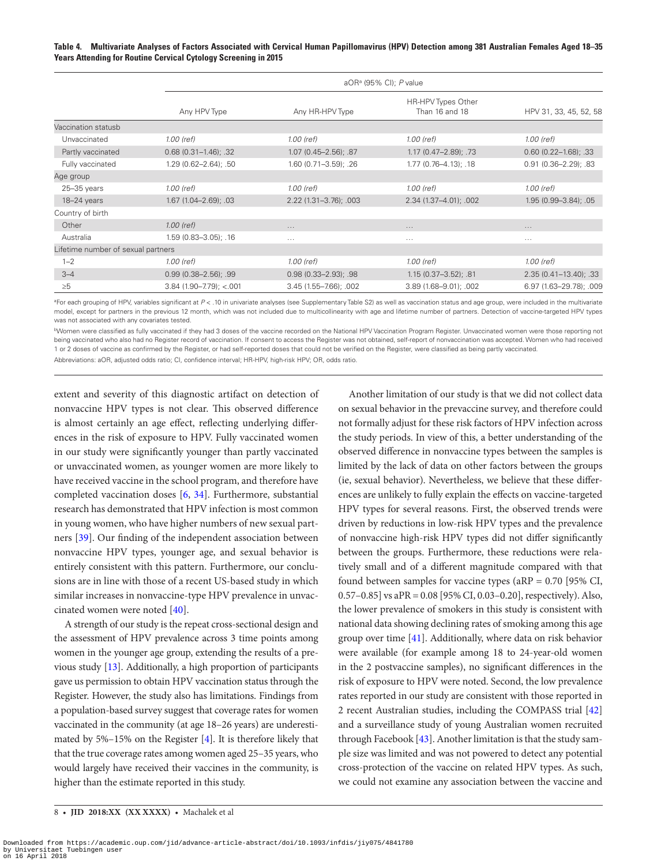<span id="page-7-0"></span>**Table 4. Multivariate Analyses of Factors Associated with Cervical Human Papillomavirus (HPV) Detection among 381 Australian Females Aged 18–35 Years Attending for Routine Cervical Cytology Screening in 2015**

|                                    |                           | aOR <sup>a</sup> (95% CI); P value |                                      |                           |  |  |
|------------------------------------|---------------------------|------------------------------------|--------------------------------------|---------------------------|--|--|
|                                    | Any HPV Type              | Any HR-HPV Type                    | HR-HPV Types Other<br>Than 16 and 18 | HPV 31, 33, 45, 52, 58    |  |  |
| Vaccination statusb                |                           |                                    |                                      |                           |  |  |
| Unvaccinated                       | 1.00 (ref)                | 1.00 (ref)                         | 1.00 (ref)                           | 1.00 (ref)                |  |  |
| Partly vaccinated                  | $0.68$ (0.31-1.46); .32   | $1.07(0.45 - 2.56)$ ; .87          | 1.17 (0.47-2.89); .73                | $0.60$ (0.22-1.68); .33   |  |  |
| Fully vaccinated                   | $1.29(0.62 - 2.64)$ ; .50 | 1.60 (0.71-3.59); .26              | $1.77$ $(0.76 - 4.13)$ ; .18         | $0.91(0.36 - 2.29)$ ; .83 |  |  |
| Age group                          |                           |                                    |                                      |                           |  |  |
| $25 - 35$ years                    | 1.00 (ref)                | 1.00 (ref)                         | 1.00 (ref)                           | 1.00 (ref)                |  |  |
| 18-24 years                        | $1.67(1.04 - 2.69)$ ; .03 | $2.22(1.31 - 3.76)$ ; .003         | 2.34 (1.37-4.01); .002               | $1.95(0.99 - 3.84)$ ; .05 |  |  |
| Country of birth                   |                           |                                    |                                      |                           |  |  |
| Other                              | $1.00$ (ref)              | $\cdots$                           | $\cdots$                             | $\cdots$                  |  |  |
| Australia                          | $1.59(0.83 - 3.05)$ ; .16 | $\cdots$                           | $\cdots$                             | $\cdots$                  |  |  |
| Lifetime number of sexual partners |                           |                                    |                                      |                           |  |  |
| $1 - 2$                            | 1.00 (ref)                | 1.00 (ref)                         | 1.00 (ref)                           | 1.00 (ref)                |  |  |
| $3 - 4$                            | $0.99(0.38 - 2.56)$ ; .99 | $0.98(0.33 - 2.93)$ ; .98          | $1.15(0.37 - 3.52)$ ; .81            | $2.35(0.41 - 13.40); .33$ |  |  |
| $\geq 5$                           | $3.84$ (1.90-7.79); <.001 | $3.45(1.55 - 7.66)$ ; .002         | 3.89 (1.68-9.01); .002               | 6.97 (1.63-29.78); .009   |  |  |

<sup>aF</sup>or each grouping of HPV, variables significant at P < .10 in univariate analyses (see Supplementary Table S2) as well as vaccination status and age group, were included in the multivariate model, except for partners in the previous 12 month, which was not included due to multicollinearity with age and lifetime number of partners. Detection of vaccine-targeted HPV types was not associated with any covariates tested.

bWomen were classified as fully vaccinated if they had 3 doses of the vaccine recorded on the National HPV Vaccination Program Register. Unvaccinated women were those reporting not being vaccinated who also had no Register record of vaccination. If consent to access the Register was not obtained, self-report of nonvaccination was accepted. Women who had received 1 or 2 doses of vaccine as confirmed by the Register, or had self-reported doses that could not be verified on the Register, were classified as being partly vaccinated.

Abbreviations: aOR, adjusted odds ratio; CI, confidence interval; HR-HPV, high-risk HPV; OR, odds ratio.

extent and severity of this diagnostic artifact on detection of nonvaccine HPV types is not clear. This observed difference is almost certainly an age effect, reflecting underlying differences in the risk of exposure to HPV. Fully vaccinated women in our study were significantly younger than partly vaccinated or unvaccinated women, as younger women are more likely to have received vaccine in the school program, and therefore have completed vaccination doses [[6](#page-8-5), [34](#page-10-0)]. Furthermore, substantial research has demonstrated that HPV infection is most common in young women, who have higher numbers of new sexual partners [\[39](#page-10-5)]. Our finding of the independent association between nonvaccine HPV types, younger age, and sexual behavior is entirely consistent with this pattern. Furthermore, our conclusions are in line with those of a recent US-based study in which similar increases in nonvaccine-type HPV prevalence in unvaccinated women were noted [\[40\]](#page-10-6).

A strength of our study is the repeat cross-sectional design and the assessment of HPV prevalence across 3 time points among women in the younger age group, extending the results of a previous study [\[13](#page-9-2)]. Additionally, a high proportion of participants gave us permission to obtain HPV vaccination status through the Register. However, the study also has limitations. Findings from a population-based survey suggest that coverage rates for women vaccinated in the community (at age 18–26 years) are underestimated by 5%–15% on the Register [\[4](#page-8-3)]. It is therefore likely that that the true coverage rates among women aged 25–35 years, who would largely have received their vaccines in the community, is higher than the estimate reported in this study.

Another limitation of our study is that we did not collect data on sexual behavior in the prevaccine survey, and therefore could not formally adjust for these risk factors of HPV infection across the study periods. In view of this, a better understanding of the observed difference in nonvaccine types between the samples is limited by the lack of data on other factors between the groups (ie, sexual behavior). Nevertheless, we believe that these differences are unlikely to fully explain the effects on vaccine-targeted HPV types for several reasons. First, the observed trends were driven by reductions in low-risk HPV types and the prevalence of nonvaccine high-risk HPV types did not differ significantly between the groups. Furthermore, these reductions were relatively small and of a different magnitude compared with that found between samples for vaccine types ( $aRP = 0.70$  [95% CI, 0.57–0.85] vs aPR = 0.08 [95% CI, 0.03–0.20], respectively). Also, the lower prevalence of smokers in this study is consistent with national data showing declining rates of smoking among this age group over time [\[41](#page-10-7)]. Additionally, where data on risk behavior were available (for example among 18 to 24-year-old women in the 2 postvaccine samples), no significant differences in the risk of exposure to HPV were noted. Second, the low prevalence rates reported in our study are consistent with those reported in 2 recent Australian studies, including the COMPASS trial [[42\]](#page-10-8) and a surveillance study of young Australian women recruited through Facebook [\[43\]](#page-10-9). Another limitation is that the study sample size was limited and was not powered to detect any potential cross-protection of the vaccine on related HPV types. As such, we could not examine any association between the vaccine and

<sup>8</sup> • **JID 2018:XX (XX XXXX)** • Machalek et al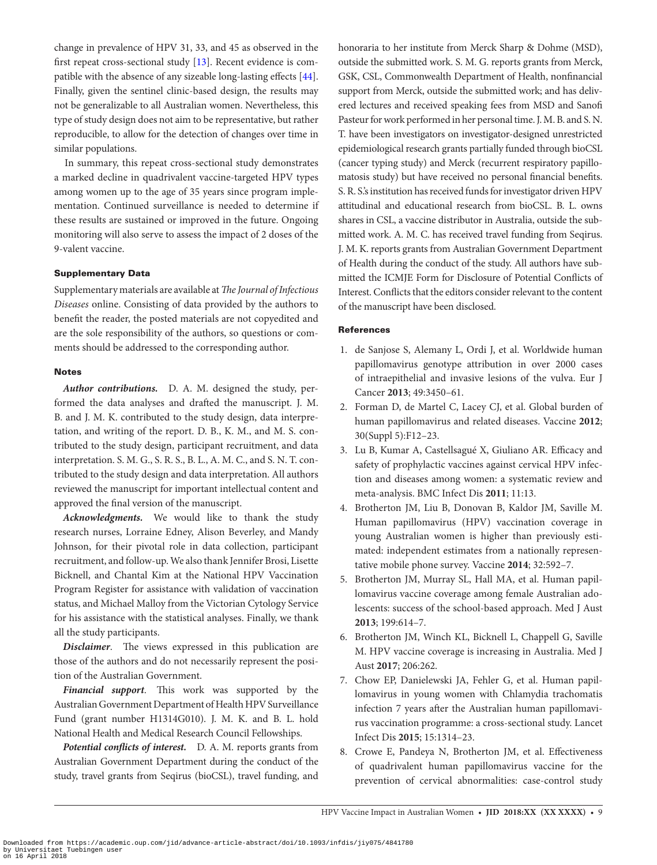change in prevalence of HPV 31, 33, and 45 as observed in the first repeat cross-sectional study [[13\]](#page-9-2). Recent evidence is compatible with the absence of any sizeable long-lasting effects [[44\]](#page-10-10). Finally, given the sentinel clinic-based design, the results may not be generalizable to all Australian women. Nevertheless, this type of study design does not aim to be representative, but rather reproducible, to allow for the detection of changes over time in similar populations.

In summary, this repeat cross-sectional study demonstrates a marked decline in quadrivalent vaccine-targeted HPV types among women up to the age of 35 years since program implementation. Continued surveillance is needed to determine if these results are sustained or improved in the future. Ongoing monitoring will also serve to assess the impact of 2 doses of the 9-valent vaccine.

# Supplementary Data

Supplementary materials are available at *The Journal of Infectious Diseases* online. Consisting of data provided by the authors to benefit the reader, the posted materials are not copyedited and are the sole responsibility of the authors, so questions or comments should be addressed to the corresponding author.

#### Notes

*Author contributions.* D. A. M. designed the study, performed the data analyses and drafted the manuscript. J. M. B. and J. M. K. contributed to the study design, data interpretation, and writing of the report. D. B., K. M., and M. S. contributed to the study design, participant recruitment, and data interpretation. S. M. G., S. R. S., B. L., A. M. C., and S. N. T. contributed to the study design and data interpretation. All authors reviewed the manuscript for important intellectual content and approved the final version of the manuscript.

*Acknowledgments.* We would like to thank the study research nurses, Lorraine Edney, Alison Beverley, and Mandy Johnson, for their pivotal role in data collection, participant recruitment, and follow-up. We also thank Jennifer Brosi, Lisette Bicknell, and Chantal Kim at the National HPV Vaccination Program Register for assistance with validation of vaccination status, and Michael Malloy from the Victorian Cytology Service for his assistance with the statistical analyses. Finally, we thank all the study participants.

*Disclaimer*. The views expressed in this publication are those of the authors and do not necessarily represent the position of the Australian Government.

*Financial support*. This work was supported by the Australian Government Department of Health HPV Surveillance Fund (grant number H1314G010). J. M. K. and B. L. hold National Health and Medical Research Council Fellowships.

*Potential conflicts of interest.* D. A. M. reports grants from Australian Government Department during the conduct of the study, travel grants from Seqirus (bioCSL), travel funding, and honoraria to her institute from Merck Sharp & Dohme (MSD), outside the submitted work. S. M. G. reports grants from Merck, GSK, CSL, Commonwealth Department of Health, nonfinancial support from Merck, outside the submitted work; and has delivered lectures and received speaking fees from MSD and Sanofi Pasteur for work performed in her personal time. J. M. B. and S. N. T. have been investigators on investigator-designed unrestricted epidemiological research grants partially funded through bioCSL (cancer typing study) and Merck (recurrent respiratory papillomatosis study) but have received no personal financial benefits. S. R. S.'s institution has received funds for investigator driven HPV attitudinal and educational research from bioCSL. B. L. owns shares in CSL, a vaccine distributor in Australia, outside the submitted work. A. M. C. has received travel funding from Seqirus. J. M. K. reports grants from Australian Government Department of Health during the conduct of the study. All authors have submitted the ICMJE Form for Disclosure of Potential Conflicts of Interest. Conflicts that the editors consider relevant to the content of the manuscript have been disclosed.

# **References**

- <span id="page-8-0"></span>1. de Sanjose S, Alemany L, Ordi J, et al. Worldwide human papillomavirus genotype attribution in over 2000 cases of intraepithelial and invasive lesions of the vulva. Eur J Cancer **2013**; 49:3450–61.
- <span id="page-8-1"></span>2. Forman D, de Martel C, Lacey CJ, et al. Global burden of human papillomavirus and related diseases. Vaccine **2012**; 30(Suppl 5):F12–23.
- <span id="page-8-2"></span>3. Lu B, Kumar A, Castellsagué X, Giuliano AR. Efficacy and safety of prophylactic vaccines against cervical HPV infection and diseases among women: a systematic review and meta-analysis. BMC Infect Dis **2011**; 11:13.
- <span id="page-8-3"></span>4. Brotherton JM, Liu B, Donovan B, Kaldor JM, Saville M. Human papillomavirus (HPV) vaccination coverage in young Australian women is higher than previously estimated: independent estimates from a nationally representative mobile phone survey. Vaccine **2014**; 32:592–7.
- <span id="page-8-4"></span>5. Brotherton JM, Murray SL, Hall MA, et al. Human papillomavirus vaccine coverage among female Australian adolescents: success of the school-based approach. Med J Aust **2013**; 199:614–7.
- <span id="page-8-5"></span>6. Brotherton JM, Winch KL, Bicknell L, Chappell G, Saville M. HPV vaccine coverage is increasing in Australia. Med J Aust **2017**; 206:262.
- <span id="page-8-6"></span>7. Chow EP, Danielewski JA, Fehler G, et al. Human papillomavirus in young women with Chlamydia trachomatis infection 7 years after the Australian human papillomavirus vaccination programme: a cross-sectional study. Lancet Infect Dis **2015**; 15:1314–23.
- <span id="page-8-7"></span>8. Crowe E, Pandeya N, Brotherton JM, et al. Effectiveness of quadrivalent human papillomavirus vaccine for the prevention of cervical abnormalities: case-control study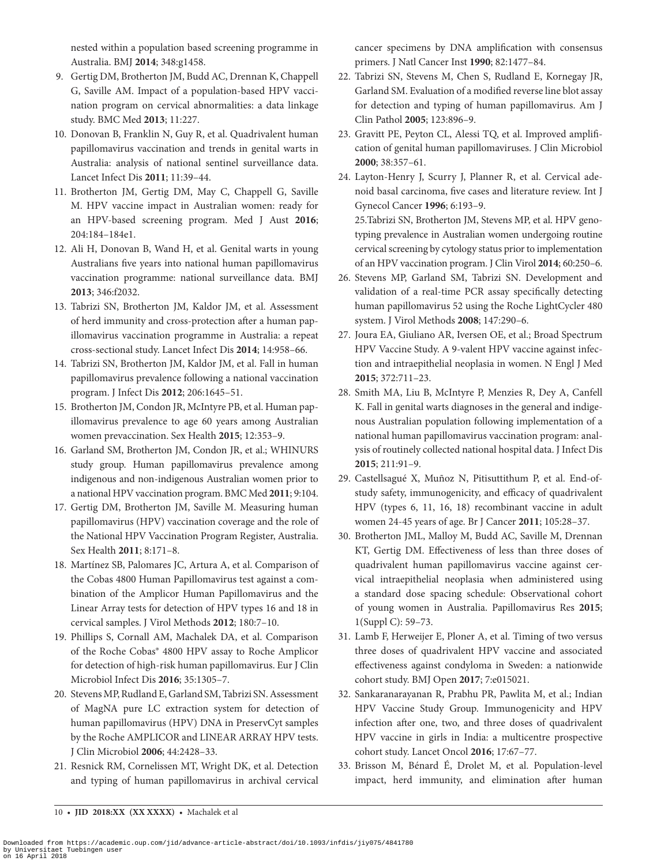nested within a population based screening programme in Australia. BMJ **2014**; 348:g1458.

- 9. Gertig DM, Brotherton JM, Budd AC, Drennan K, Chappell G, Saville AM. Impact of a population-based HPV vaccination program on cervical abnormalities: a data linkage study. BMC Med **2013**; 11:227.
- 10. Donovan B, Franklin N, Guy R, et al. Quadrivalent human papillomavirus vaccination and trends in genital warts in Australia: analysis of national sentinel surveillance data. Lancet Infect Dis **2011**; 11:39–44.
- <span id="page-9-0"></span>11. Brotherton JM, Gertig DM, May C, Chappell G, Saville M. HPV vaccine impact in Australian women: ready for an HPV-based screening program. Med J Aust **2016**; 204:184–184e1.
- <span id="page-9-1"></span>12. Ali H, Donovan B, Wand H, et al. Genital warts in young Australians five years into national human papillomavirus vaccination programme: national surveillance data. BMJ **2013**; 346:f2032.
- <span id="page-9-2"></span>13. Tabrizi SN, Brotherton JM, Kaldor JM, et al. Assessment of herd immunity and cross-protection after a human papillomavirus vaccination programme in Australia: a repeat cross-sectional study. Lancet Infect Dis **2014**; 14:958–66.
- <span id="page-9-3"></span>14. Tabrizi SN, Brotherton JM, Kaldor JM, et al. Fall in human papillomavirus prevalence following a national vaccination program. J Infect Dis **2012**; 206:1645–51.
- <span id="page-9-4"></span>15. Brotherton JM, Condon JR, McIntyre PB, et al. Human papillomavirus prevalence to age 60 years among Australian women prevaccination. Sex Health **2015**; 12:353–9.
- <span id="page-9-5"></span>16. Garland SM, Brotherton JM, Condon JR, et al.; WHINURS study group. Human papillomavirus prevalence among indigenous and non-indigenous Australian women prior to a national HPV vaccination program. BMC Med **2011**; 9:104.
- <span id="page-9-6"></span>17. Gertig DM, Brotherton JM, Saville M. Measuring human papillomavirus (HPV) vaccination coverage and the role of the National HPV Vaccination Program Register, Australia. Sex Health **2011**; 8:171–8.
- <span id="page-9-7"></span>18. Martínez SB, Palomares JC, Artura A, et al. Comparison of the Cobas 4800 Human Papillomavirus test against a combination of the Amplicor Human Papillomavirus and the Linear Array tests for detection of HPV types 16 and 18 in cervical samples. J Virol Methods **2012**; 180:7–10.
- <span id="page-9-8"></span>19. Phillips S, Cornall AM, Machalek DA, et al. Comparison of the Roche Cobas® 4800 HPV assay to Roche Amplicor for detection of high-risk human papillomavirus. Eur J Clin Microbiol Infect Dis **2016**; 35:1305–7.
- <span id="page-9-9"></span>20. Stevens MP, Rudland E, Garland SM, Tabrizi SN. Assessment of MagNA pure LC extraction system for detection of human papillomavirus (HPV) DNA in PreservCyt samples by the Roche AMPLICOR and LINEAR ARRAY HPV tests. J Clin Microbiol **2006**; 44:2428–33.
- <span id="page-9-10"></span>21. Resnick RM, Cornelissen MT, Wright DK, et al. Detection and typing of human papillomavirus in archival cervical

cancer specimens by DNA amplification with consensus primers. J Natl Cancer Inst **1990**; 82:1477–84.

- 22. Tabrizi SN, Stevens M, Chen S, Rudland E, Kornegay JR, Garland SM. Evaluation of a modified reverse line blot assay for detection and typing of human papillomavirus. Am J Clin Pathol **2005**; 123:896–9.
- 23. Gravitt PE, Peyton CL, Alessi TQ, et al. Improved amplification of genital human papillomaviruses. J Clin Microbiol **2000**; 38:357–61.
- <span id="page-9-11"></span>24. Layton-Henry J, Scurry J, Planner R, et al. Cervical adenoid basal carcinoma, five cases and literature review. Int J Gynecol Cancer **1996**; 6:193–9. 25.Tabrizi SN, Brotherton JM, Stevens MP, et al. HPV genotyping prevalence in Australian women undergoing routine cervical screening by cytology status prior to implementation of an HPV vaccination program. J Clin Virol **2014**; 60:250–6.
- <span id="page-9-12"></span>26. Stevens MP, Garland SM, Tabrizi SN. Development and validation of a real-time PCR assay specifically detecting human papillomavirus 52 using the Roche LightCycler 480 system. J Virol Methods **2008**; 147:290–6.
- <span id="page-9-13"></span>27. Joura EA, Giuliano AR, Iversen OE, et al.; Broad Spectrum HPV Vaccine Study. A 9-valent HPV vaccine against infection and intraepithelial neoplasia in women. N Engl J Med **2015**; 372:711–23.
- <span id="page-9-14"></span>28. Smith MA, Liu B, McIntyre P, Menzies R, Dey A, Canfell K. Fall in genital warts diagnoses in the general and indigenous Australian population following implementation of a national human papillomavirus vaccination program: analysis of routinely collected national hospital data. J Infect Dis **2015**; 211:91–9.
- <span id="page-9-15"></span>29. Castellsagué X, Muñoz N, Pitisuttithum P, et al. End-ofstudy safety, immunogenicity, and efficacy of quadrivalent HPV (types 6, 11, 16, 18) recombinant vaccine in adult women 24-45 years of age. Br J Cancer **2011**; 105:28–37.
- <span id="page-9-16"></span>30. Brotherton JML, Malloy M, Budd AC, Saville M, Drennan KT, Gertig DM. Effectiveness of less than three doses of quadrivalent human papillomavirus vaccine against cervical intraepithelial neoplasia when administered using a standard dose spacing schedule: Observational cohort of young women in Australia. Papillomavirus Res **2015**; 1(Suppl C): 59–73.
- 31. Lamb F, Herweijer E, Ploner A, et al. Timing of two versus three doses of quadrivalent HPV vaccine and associated effectiveness against condyloma in Sweden: a nationwide cohort study. BMJ Open **2017**; 7:e015021.
- 32. Sankaranarayanan R, Prabhu PR, Pawlita M, et al.; Indian HPV Vaccine Study Group. Immunogenicity and HPV infection after one, two, and three doses of quadrivalent HPV vaccine in girls in India: a multicentre prospective cohort study. Lancet Oncol **2016**; 17:67–77.
- <span id="page-9-17"></span>33. Brisson M, Bénard É, Drolet M, et al. Population-level impact, herd immunity, and elimination after human

10 • **JID 2018:XX (XX XXXX)** • Machalek et al